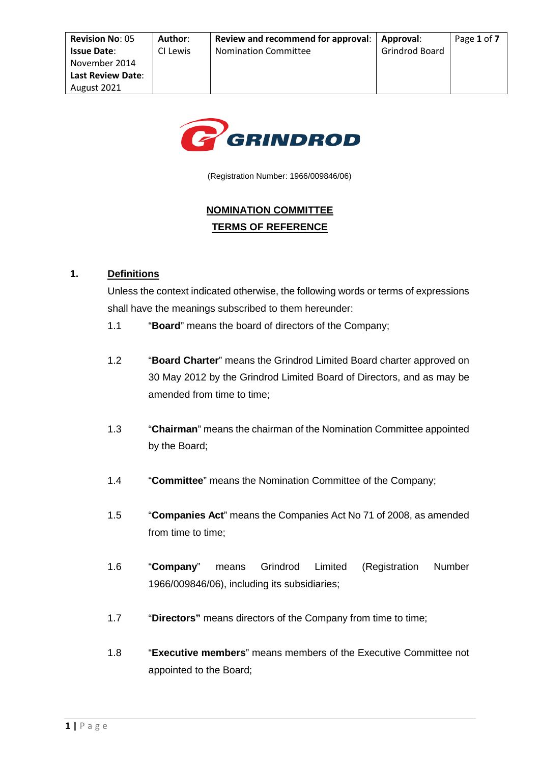

(Registration Number: 1966/009846/06)

# **NOMINATION COMMITTEE TERMS OF REFERENCE**

### **1. Definitions**

Unless the context indicated otherwise, the following words or terms of expressions shall have the meanings subscribed to them hereunder:

- 1.1 "**Board**" means the board of directors of the Company;
- 1.2 "**Board Charter**" means the Grindrod Limited Board charter approved on 30 May 2012 by the Grindrod Limited Board of Directors, and as may be amended from time to time;
- 1.3 "**Chairman**" means the chairman of the Nomination Committee appointed by the Board;
- 1.4 "**Committee**" means the Nomination Committee of the Company;
- 1.5 "**Companies Act**" means the Companies Act No 71 of 2008, as amended from time to time;
- 1.6 "**Company**" means Grindrod Limited (Registration Number 1966/009846/06), including its subsidiaries;
- 1.7 "**Directors"** means directors of the Company from time to time;
- 1.8 "**Executive members**" means members of the Executive Committee not appointed to the Board;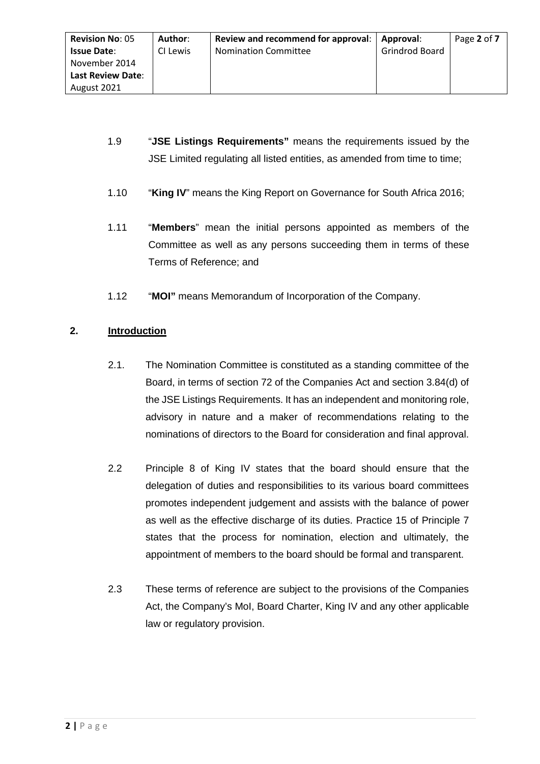- 1.9 "**JSE Listings Requirements"** means the requirements issued by the JSE Limited regulating all listed entities, as amended from time to time;
- 1.10 "**King IV**" means the King Report on Governance for South Africa 2016;
- 1.11 "**Members**" mean the initial persons appointed as members of the Committee as well as any persons succeeding them in terms of these Terms of Reference; and
- 1.12 "**MOI"** means Memorandum of Incorporation of the Company.

# **2. Introduction**

- 2.1. The Nomination Committee is constituted as a standing committee of the Board, in terms of section 72 of the Companies Act and section 3.84(d) of the JSE Listings Requirements. It has an independent and monitoring role, advisory in nature and a maker of recommendations relating to the nominations of directors to the Board for consideration and final approval.
- 2.2 Principle 8 of King IV states that the board should ensure that the delegation of duties and responsibilities to its various board committees promotes independent judgement and assists with the balance of power as well as the effective discharge of its duties. Practice 15 of Principle 7 states that the process for nomination, election and ultimately, the appointment of members to the board should be formal and transparent.
- 2.3 These terms of reference are subject to the provisions of the Companies Act, the Company's MoI, Board Charter, King IV and any other applicable law or regulatory provision.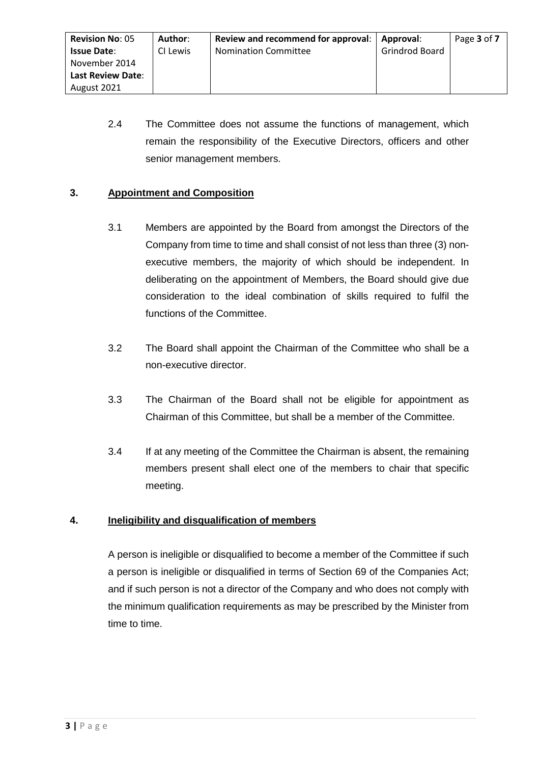2.4 The Committee does not assume the functions of management, which remain the responsibility of the Executive Directors, officers and other senior management members.

# **3. Appointment and Composition**

- 3.1 Members are appointed by the Board from amongst the Directors of the Company from time to time and shall consist of not less than three (3) nonexecutive members, the majority of which should be independent. In deliberating on the appointment of Members, the Board should give due consideration to the ideal combination of skills required to fulfil the functions of the Committee.
- 3.2 The Board shall appoint the Chairman of the Committee who shall be a non-executive director.
- 3.3 The Chairman of the Board shall not be eligible for appointment as Chairman of this Committee, but shall be a member of the Committee.
- 3.4 If at any meeting of the Committee the Chairman is absent, the remaining members present shall elect one of the members to chair that specific meeting.

# **4. Ineligibility and disqualification of members**

A person is ineligible or disqualified to become a member of the Committee if such a person is ineligible or disqualified in terms of Section 69 of the Companies Act; and if such person is not a director of the Company and who does not comply with the minimum qualification requirements as may be prescribed by the Minister from time to time.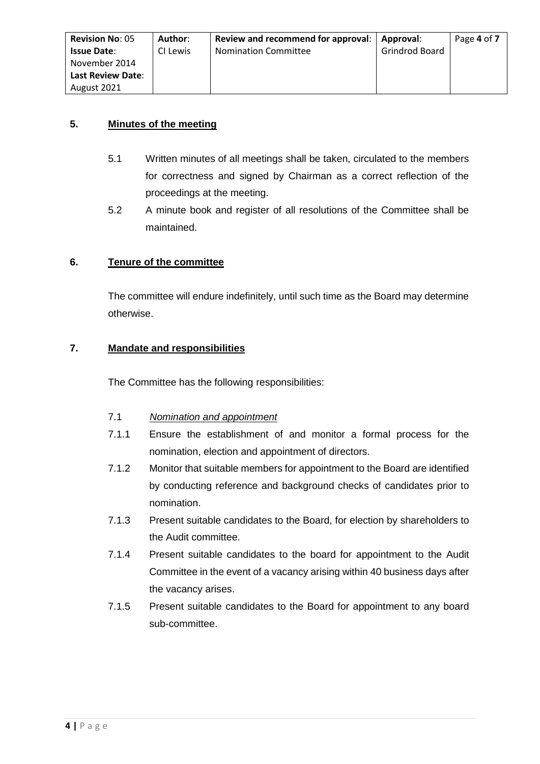| <b>Revision No: 05</b>   | Author:  | Review and recommend for approval: | Approval:             | Page 4 of 7 |
|--------------------------|----------|------------------------------------|-----------------------|-------------|
| <b>Issue Date:</b>       | CI Lewis | <b>Nomination Committee</b>        | <b>Grindrod Board</b> |             |
| November 2014            |          |                                    |                       |             |
| <b>Last Review Date:</b> |          |                                    |                       |             |
| August 2021              |          |                                    |                       |             |

### **5. Minutes of the meeting**

- 5.1 Written minutes of all meetings shall be taken, circulated to the members for correctness and signed by Chairman as a correct reflection of the proceedings at the meeting.
- 5.2 A minute book and register of all resolutions of the Committee shall be maintained.

#### **6. Tenure of the committee**

The committee will endure indefinitely, until such time as the Board may determine otherwise.

#### **7. Mandate and responsibilities**

The Committee has the following responsibilities:

- 7.1 *Nomination and appointment*
- 7.1.1 Ensure the establishment of and monitor a formal process for the nomination, election and appointment of directors.
- 7.1.2 Monitor that suitable members for appointment to the Board are identified by conducting reference and background checks of candidates prior to nomination.
- 7.1.3 Present suitable candidates to the Board, for election by shareholders to the Audit committee.
- 7.1.4 Present suitable candidates to the board for appointment to the Audit Committee in the event of a vacancy arising within 40 business days after the vacancy arises.
- 7.1.5 Present suitable candidates to the Board for appointment to any board sub-committee.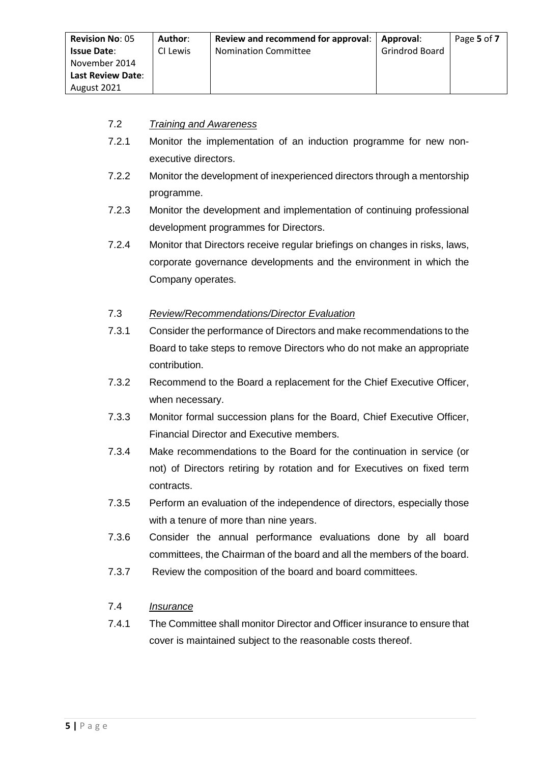| <b>Revision No: 05</b>   | Author:  | Review and recommend for approval: | Approval:      | Page 5 of 7 |
|--------------------------|----------|------------------------------------|----------------|-------------|
| <b>Issue Date:</b>       | CI Lewis | <b>Nomination Committee</b>        | Grindrod Board |             |
| November 2014            |          |                                    |                |             |
| <b>Last Review Date:</b> |          |                                    |                |             |
| August 2021              |          |                                    |                |             |

### 7.2 *Training and Awareness*

- 7.2.1 Monitor the implementation of an induction programme for new nonexecutive directors.
- 7.2.2 Monitor the development of inexperienced directors through a mentorship programme.
- 7.2.3 Monitor the development and implementation of continuing professional development programmes for Directors.
- 7.2.4 Monitor that Directors receive regular briefings on changes in risks, laws, corporate governance developments and the environment in which the Company operates.

### 7.3 *Review/Recommendations/Director Evaluation*

- 7.3.1 Consider the performance of Directors and make recommendations to the Board to take steps to remove Directors who do not make an appropriate contribution.
- 7.3.2 Recommend to the Board a replacement for the Chief Executive Officer, when necessary.
- 7.3.3 Monitor formal succession plans for the Board, Chief Executive Officer, Financial Director and Executive members.
- 7.3.4 Make recommendations to the Board for the continuation in service (or not) of Directors retiring by rotation and for Executives on fixed term contracts.
- 7.3.5 Perform an evaluation of the independence of directors, especially those with a tenure of more than nine years.
- 7.3.6 Consider the annual performance evaluations done by all board committees, the Chairman of the board and all the members of the board.
- 7.3.7 Review the composition of the board and board committees.

### 7.4 *Insurance*

7.4.1 The Committee shall monitor Director and Officer insurance to ensure that cover is maintained subject to the reasonable costs thereof.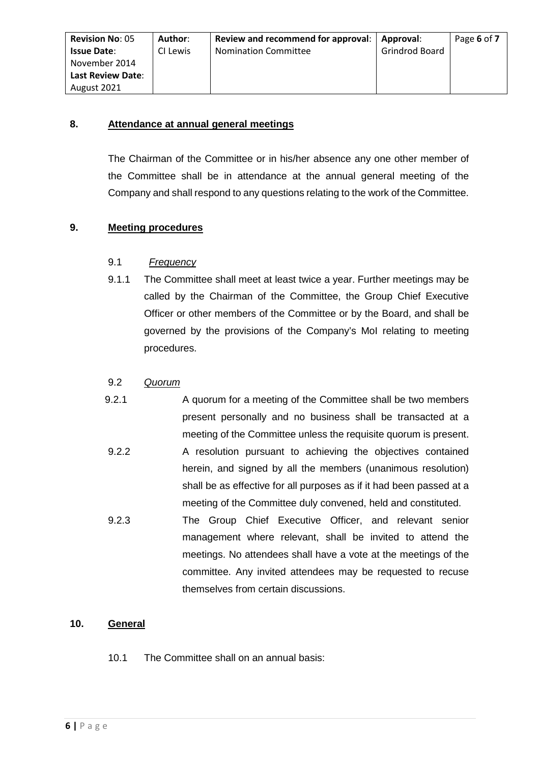#### **8. Attendance at annual general meetings**

The Chairman of the Committee or in his/her absence any one other member of the Committee shall be in attendance at the annual general meeting of the Company and shall respond to any questions relating to the work of the Committee.

### **9. Meeting procedures**

#### 9.1 *Frequency*

9.1.1 The Committee shall meet at least twice a year. Further meetings may be called by the Chairman of the Committee, the Group Chief Executive Officer or other members of the Committee or by the Board, and shall be governed by the provisions of the Company's MoI relating to meeting procedures.

#### 9.2 *Quorum*

- 9.2.1 A quorum for a meeting of the Committee shall be two members present personally and no business shall be transacted at a meeting of the Committee unless the requisite quorum is present. 9.2.2 A resolution pursuant to achieving the objectives contained herein, and signed by all the members (unanimous resolution) shall be as effective for all purposes as if it had been passed at a
- meeting of the Committee duly convened, held and constituted. 9.2.3 The Group Chief Executive Officer, and relevant senior management where relevant, shall be invited to attend the meetings. No attendees shall have a vote at the meetings of the committee. Any invited attendees may be requested to recuse themselves from certain discussions.

#### **10. General**

10.1 The Committee shall on an annual basis: